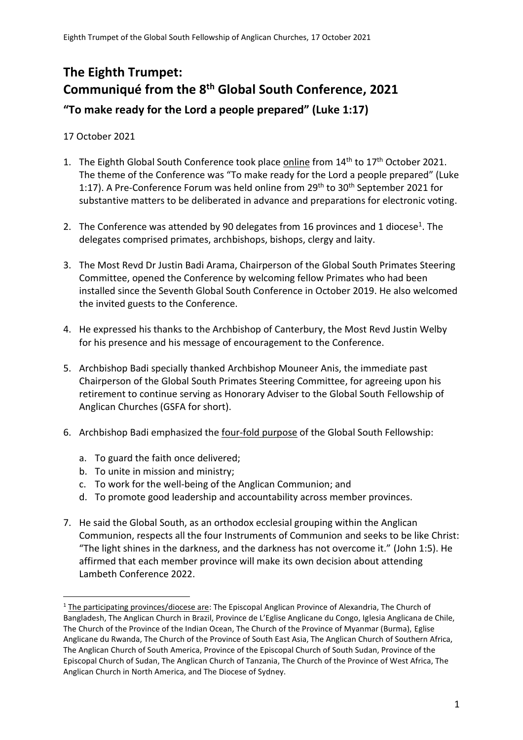# **The Eighth Trumpet: Communiqué from the 8th Global South Conference, 2021 "To make ready for the Lord a people prepared" (Luke 1:17)**

17 October 2021

- 1. The Eighth Global South Conference took place online from  $14<sup>th</sup>$  to  $17<sup>th</sup>$  October 2021. The theme of the Conference was "To make ready for the Lord a people prepared" (Luke 1:17). A Pre-Conference Forum was held online from  $29<sup>th</sup>$  to  $30<sup>th</sup>$  September 2021 for substantive matters to be deliberated in advance and preparations for electronic voting.
- 2. The Conference was attended by 90 delegates from 16 provinces and 1 diocese<sup>1</sup>. The delegates comprised primates, archbishops, bishops, clergy and laity.
- 3. The Most Revd Dr Justin Badi Arama, Chairperson of the Global South Primates Steering Committee, opened the Conference by welcoming fellow Primates who had been installed since the Seventh Global South Conference in October 2019. He also welcomed the invited guests to the Conference.
- 4. He expressed his thanks to the Archbishop of Canterbury, the Most Revd Justin Welby for his presence and his message of encouragement to the Conference.
- 5. Archbishop Badi specially thanked Archbishop Mouneer Anis, the immediate past Chairperson of the Global South Primates Steering Committee, for agreeing upon his retirement to continue serving as Honorary Adviser to the Global South Fellowship of Anglican Churches (GSFA for short).
- 6. Archbishop Badi emphasized the four-fold purpose of the Global South Fellowship:
	- a. To guard the faith once delivered;
	- b. To unite in mission and ministry;
	- c. To work for the well-being of the Anglican Communion; and
	- d. To promote good leadership and accountability across member provinces.
- 7. He said the Global South, as an orthodox ecclesial grouping within the Anglican Communion, respects all the four Instruments of Communion and seeks to be like Christ: "The light shines in the darkness, and the darkness has not overcome it." (John 1:5). He affirmed that each member province will make its own decision about attending Lambeth Conference 2022.

<sup>&</sup>lt;sup>1</sup> The participating provinces/diocese are: The Episcopal Anglican Province of Alexandria, The Church of Bangladesh, The Anglican Church in Brazil, Province de L'Eglise Anglicane du Congo, Iglesia Anglicana de Chile, The Church of the Province of the Indian Ocean, The Church of the Province of Myanmar (Burma), Eglise Anglicane du Rwanda, The Church of the Province of South East Asia, The Anglican Church of Southern Africa, The Anglican Church of South America, Province of the Episcopal Church of South Sudan, Province of the Episcopal Church of Sudan, The Anglican Church of Tanzania, The Church of the Province of West Africa, The Anglican Church in North America, and The Diocese of Sydney.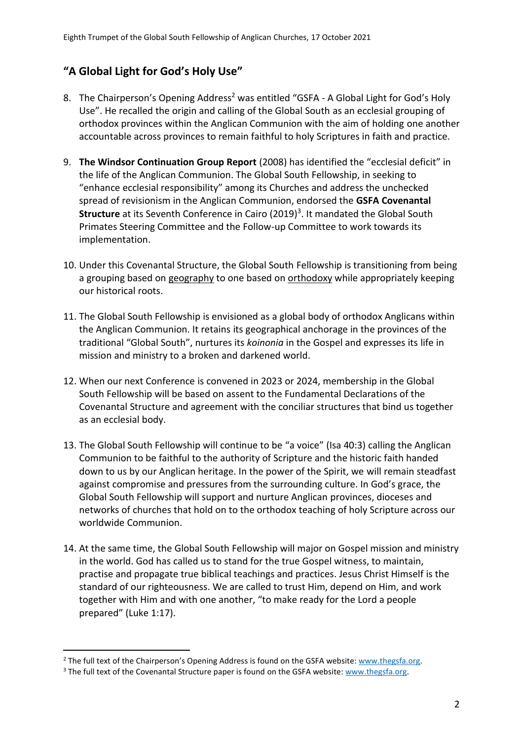## **"A Global Light for God's Holy Use"**

- 8. The Chairperson's Opening Address<sup>2</sup> was entitled "GSFA A Global Light for God's Holy Use". He recalled the origin and calling of the Global South as an ecclesial grouping of orthodox provinces within the Anglican Communion with the aim of holding one another accountable across provinces to remain faithful to holy Scriptures in faith and practice.
- 9. **The Windsor Continuation Group Report** (2008) has identified the "ecclesial deficit" in the life of the Anglican Communion. The Global South Fellowship, in seeking to "enhance ecclesial responsibility" among its Churches and address the unchecked spread of revisionism in the Anglican Communion, endorsed the **GSFA Covenantal Structure** at its Seventh Conference in Cairo (2019)<sup>3</sup>. It mandated the Global South Primates Steering Committee and the Follow-up Committee to work towards its implementation.
- 10. Under this Covenantal Structure, the Global South Fellowship is transitioning from being a grouping based on geography to one based on orthodoxy while appropriately keeping our historical roots.
- 11. The Global South Fellowship is envisioned as a global body of orthodox Anglicans within the Anglican Communion. It retains its geographical anchorage in the provinces of the traditional "Global South", nurtures its *koinonia* in the Gospel and expresses its life in mission and ministry to a broken and darkened world.
- 12. When our next Conference is convened in 2023 or 2024, membership in the Global South Fellowship will be based on assent to the Fundamental Declarations of the Covenantal Structure and agreement with the conciliar structures that bind us together as an ecclesial body.
- 13. The Global South Fellowship will continue to be "a voice" (Isa 40:3) calling the Anglican Communion to be faithful to the authority of Scripture and the historic faith handed down to us by our Anglican heritage. In the power of the Spirit, we will remain steadfast against compromise and pressures from the surrounding culture. In God's grace, the Global South Fellowship will support and nurture Anglican provinces, dioceses and networks of churches that hold on to the orthodox teaching of holy Scripture across our worldwide Communion.
- 14. At the same time, the Global South Fellowship will major on Gospel mission and ministry in the world. God has called us to stand for the true Gospel witness, to maintain, practise and propagate true biblical teachings and practices. Jesus Christ Himself is the standard of our righteousness. We are called to trust Him, depend on Him, and work together with Him and with one another, "to make ready for the Lord a people prepared" (Luke 1:17).

<sup>&</sup>lt;sup>2</sup> The full text of the Chairperson's Opening Address is found on the GSFA website: [www.thegsfa.org.](http://www.thegsfa.org/)

<sup>&</sup>lt;sup>3</sup> The full text of the Covenantal Structure paper is found on the GSFA website: [www.thegsfa.org.](http://www.thegsfa.org/)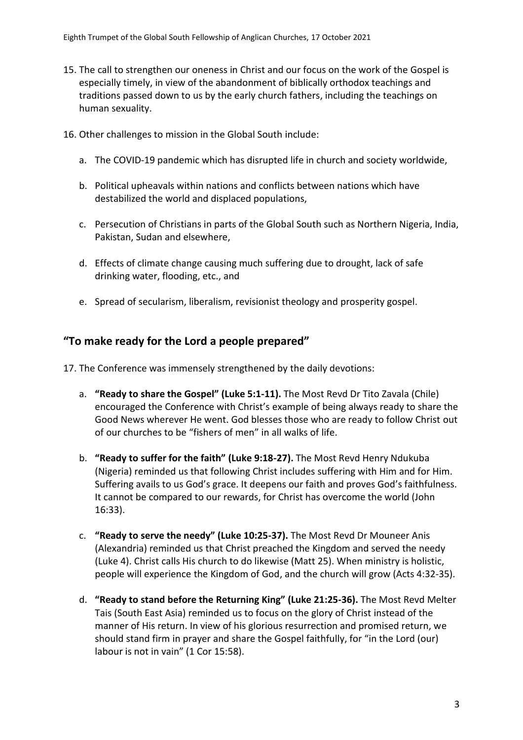- 15. The call to strengthen our oneness in Christ and our focus on the work of the Gospel is especially timely, in view of the abandonment of biblically orthodox teachings and traditions passed down to us by the early church fathers, including the teachings on human sexuality.
- 16. Other challenges to mission in the Global South include:
	- a. The COVID-19 pandemic which has disrupted life in church and society worldwide,
	- b. Political upheavals within nations and conflicts between nations which have destabilized the world and displaced populations,
	- c. Persecution of Christians in parts of the Global South such as Northern Nigeria, India, Pakistan, Sudan and elsewhere,
	- d. Effects of climate change causing much suffering due to drought, lack of safe drinking water, flooding, etc., and
	- e. Spread of secularism, liberalism, revisionist theology and prosperity gospel.

#### **"To make ready for the Lord a people prepared"**

17. The Conference was immensely strengthened by the daily devotions:

- a. **"Ready to share the Gospel" (Luke 5:1-11).** The Most Revd Dr Tito Zavala (Chile) encouraged the Conference with Christ's example of being always ready to share the Good News wherever He went. God blesses those who are ready to follow Christ out of our churches to be "fishers of men" in all walks of life.
- b. **"Ready to suffer for the faith" (Luke 9:18-27).** The Most Revd Henry Ndukuba (Nigeria) reminded us that following Christ includes suffering with Him and for Him. Suffering avails to us God's grace. It deepens our faith and proves God's faithfulness. It cannot be compared to our rewards, for Christ has overcome the world (John 16:33).
- c. **"Ready to serve the needy" (Luke 10:25-37).** The Most Revd Dr Mouneer Anis (Alexandria) reminded us that Christ preached the Kingdom and served the needy (Luke 4). Christ calls His church to do likewise (Matt 25). When ministry is holistic, people will experience the Kingdom of God, and the church will grow (Acts 4:32-35).
- d. **"Ready to stand before the Returning King" (Luke 21:25-36).** The Most Revd Melter Tais (South East Asia) reminded us to focus on the glory of Christ instead of the manner of His return. In view of his glorious resurrection and promised return, we should stand firm in prayer and share the Gospel faithfully, for "in the Lord (our) labour is not in vain" (1 Cor 15:58).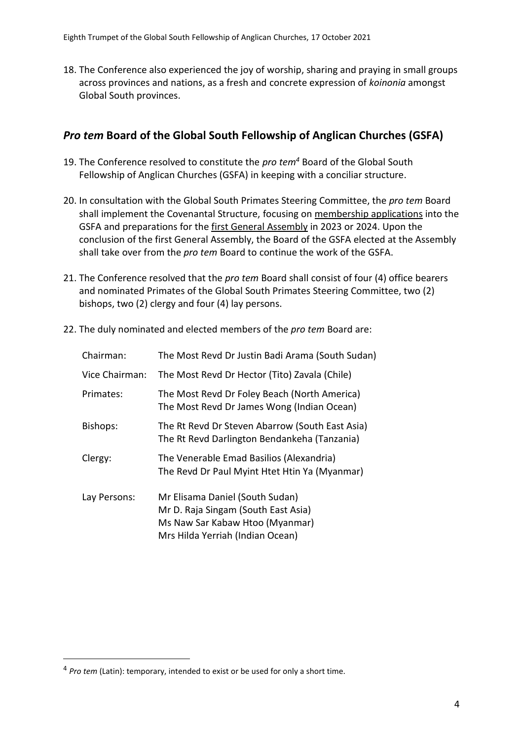18. The Conference also experienced the joy of worship, sharing and praying in small groups across provinces and nations, as a fresh and concrete expression of *koinonia* amongst Global South provinces.

#### *Pro tem* **Board of the Global South Fellowship of Anglican Churches (GSFA)**

- 19. The Conference resolved to constitute the *pro tem<sup>4</sup>* Board of the Global South Fellowship of Anglican Churches (GSFA) in keeping with a conciliar structure.
- 20. In consultation with the Global South Primates Steering Committee, the *pro tem* Board shall implement the Covenantal Structure, focusing on membership applications into the GSFA and preparations for the first General Assembly in 2023 or 2024. Upon the conclusion of the first General Assembly, the Board of the GSFA elected at the Assembly shall take over from the *pro tem* Board to continue the work of the GSFA.
- 21. The Conference resolved that the *pro tem* Board shall consist of four (4) office bearers and nominated Primates of the Global South Primates Steering Committee, two (2) bishops, two (2) clergy and four (4) lay persons.
- 22. The duly nominated and elected members of the *pro tem* Board are:

| Chairman:      | The Most Revd Dr Justin Badi Arama (South Sudan)                                                                                              |
|----------------|-----------------------------------------------------------------------------------------------------------------------------------------------|
| Vice Chairman: | The Most Revd Dr Hector (Tito) Zavala (Chile)                                                                                                 |
| Primates:      | The Most Revd Dr Foley Beach (North America)<br>The Most Revd Dr James Wong (Indian Ocean)                                                    |
| Bishops:       | The Rt Revd Dr Steven Abarrow (South East Asia)<br>The Rt Revd Darlington Bendankeha (Tanzania)                                               |
| Clergy:        | The Venerable Emad Basilios (Alexandria)<br>The Revd Dr Paul Myint Htet Htin Ya (Myanmar)                                                     |
| Lay Persons:   | Mr Elisama Daniel (South Sudan)<br>Mr D. Raja Singam (South East Asia)<br>Ms Naw Sar Kabaw Htoo (Myanmar)<br>Mrs Hilda Yerriah (Indian Ocean) |

<sup>4</sup> *Pro tem* (Latin): temporary, intended to exist or be used for only a short time.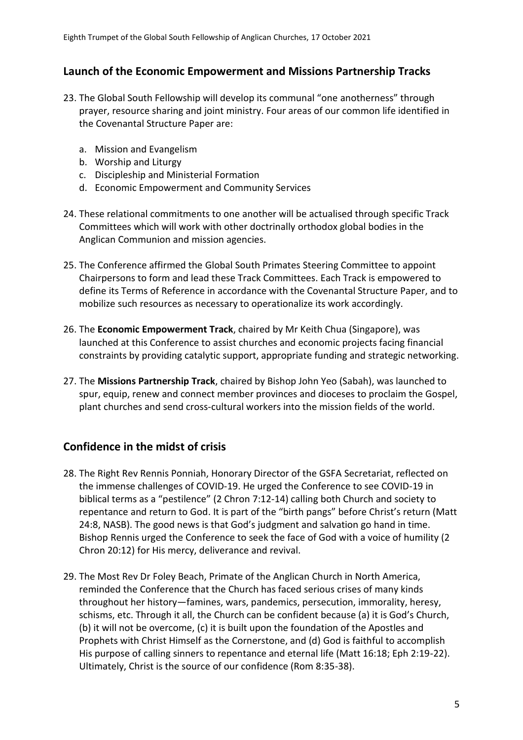#### **Launch of the Economic Empowerment and Missions Partnership Tracks**

- 23. The Global South Fellowship will develop its communal "one anotherness" through prayer, resource sharing and joint ministry. Four areas of our common life identified in the Covenantal Structure Paper are:
	- a. Mission and Evangelism
	- b. Worship and Liturgy
	- c. Discipleship and Ministerial Formation
	- d. Economic Empowerment and Community Services
- 24. These relational commitments to one another will be actualised through specific Track Committees which will work with other doctrinally orthodox global bodies in the Anglican Communion and mission agencies.
- 25. The Conference affirmed the Global South Primates Steering Committee to appoint Chairpersons to form and lead these Track Committees. Each Track is empowered to define its Terms of Reference in accordance with the Covenantal Structure Paper, and to mobilize such resources as necessary to operationalize its work accordingly.
- 26. The **Economic Empowerment Track**, chaired by Mr Keith Chua (Singapore), was launched at this Conference to assist churches and economic projects facing financial constraints by providing catalytic support, appropriate funding and strategic networking.
- 27. The **Missions Partnership Track**, chaired by Bishop John Yeo (Sabah), was launched to spur, equip, renew and connect member provinces and dioceses to proclaim the Gospel, plant churches and send cross-cultural workers into the mission fields of the world.

#### **Confidence in the midst of crisis**

- 28. The Right Rev Rennis Ponniah, Honorary Director of the GSFA Secretariat, reflected on the immense challenges of COVID-19. He urged the Conference to see COVID-19 in biblical terms as a "pestilence" (2 Chron 7:12-14) calling both Church and society to repentance and return to God. It is part of the "birth pangs" before Christ's return (Matt 24:8, NASB). The good news is that God's judgment and salvation go hand in time. Bishop Rennis urged the Conference to seek the face of God with a voice of humility (2 Chron 20:12) for His mercy, deliverance and revival.
- 29. The Most Rev Dr Foley Beach, Primate of the Anglican Church in North America, reminded the Conference that the Church has faced serious crises of many kinds throughout her history—famines, wars, pandemics, persecution, immorality, heresy, schisms, etc. Through it all, the Church can be confident because (a) it is God's Church, (b) it will not be overcome, (c) it is built upon the foundation of the Apostles and Prophets with Christ Himself as the Cornerstone, and (d) God is faithful to accomplish His purpose of calling sinners to repentance and eternal life (Matt 16:18; Eph 2:19-22). Ultimately, Christ is the source of our confidence (Rom 8:35-38).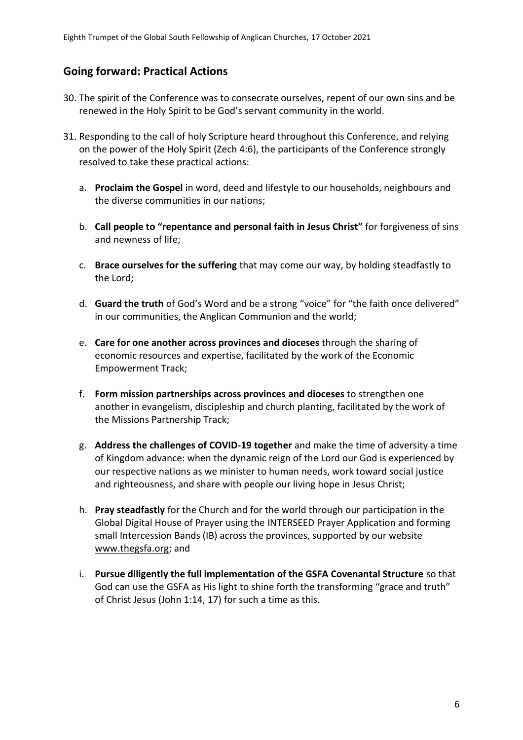#### **Going forward: Practical Actions**

- 30. The spirit of the Conference was to consecrate ourselves, repent of our own sins and be renewed in the Holy Spirit to be God's servant community in the world.
- 31. Responding to the call of holy Scripture heard throughout this Conference, and relying on the power of the Holy Spirit (Zech 4:6), the participants of the Conference strongly resolved to take these practical actions:
	- a. **Proclaim the Gospel** in word, deed and lifestyle to our households, neighbours and the diverse communities in our nations;
	- b. **Call people to "repentance and personal faith in Jesus Christ"** for forgiveness of sins and newness of life;
	- c. **Brace ourselves for the suffering** that may come our way, by holding steadfastly to the Lord;
	- d. **Guard the truth** of God's Word and be a strong "voice" for "the faith once delivered" in our communities, the Anglican Communion and the world;
	- e. **Care for one another across provinces and dioceses** through the sharing of economic resources and expertise, facilitated by the work of the Economic Empowerment Track;
	- f. **Form mission partnerships across provinces and dioceses** to strengthen one another in evangelism, discipleship and church planting, facilitated by the work of the Missions Partnership Track;
	- g. **Address the challenges of COVID-19 together** and make the time of adversity a time of Kingdom advance: when the dynamic reign of the Lord our God is experienced by our respective nations as we minister to human needs, work toward social justice and righteousness, and share with people our living hope in Jesus Christ;
	- h. **Pray steadfastly** for the Church and for the world through our participation in the Global Digital House of Prayer using the INTERSEED Prayer Application and forming small Intercession Bands (IB) across the provinces, supported by our website [www.thegsfa.org;](http://www.thegsfa.org/) and
	- i. **Pursue diligently the full implementation of the GSFA Covenantal Structure** so that God can use the GSFA as His light to shine forth the transforming "grace and truth" of Christ Jesus (John 1:14, 17) for such a time as this.